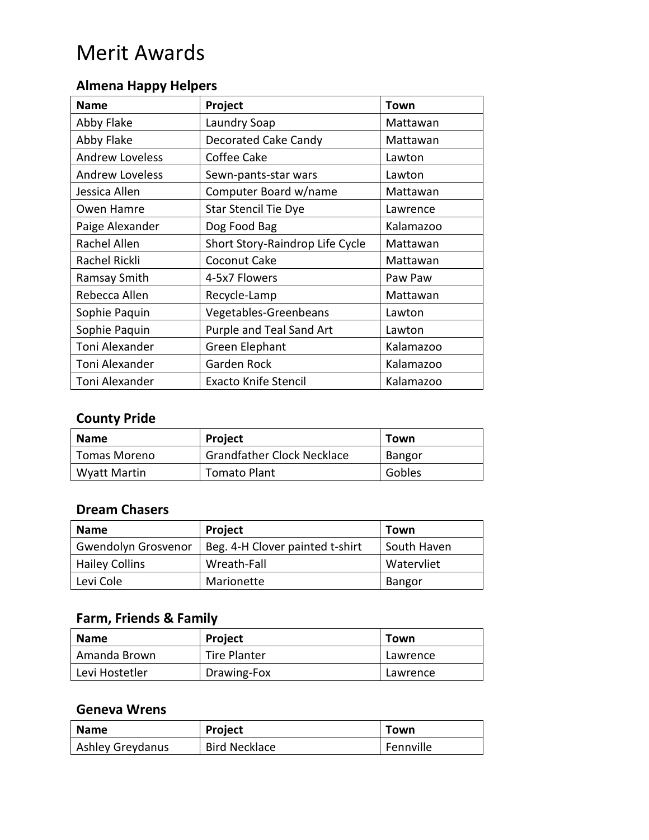#### **Almena Happy Helpers**

| <b>Name</b>            | Project                         | <b>Town</b> |
|------------------------|---------------------------------|-------------|
| Abby Flake             | Laundry Soap                    | Mattawan    |
| Abby Flake             | <b>Decorated Cake Candy</b>     | Mattawan    |
| <b>Andrew Loveless</b> | Coffee Cake                     | Lawton      |
| <b>Andrew Loveless</b> | Sewn-pants-star wars            | Lawton      |
| Jessica Allen          | Computer Board w/name           | Mattawan    |
| Owen Hamre             | <b>Star Stencil Tie Dye</b>     | Lawrence    |
| Paige Alexander        | Dog Food Bag                    | Kalamazoo   |
| Rachel Allen           | Short Story-Raindrop Life Cycle | Mattawan    |
| Rachel Rickli          | Coconut Cake                    | Mattawan    |
| Ramsay Smith           | 4-5x7 Flowers                   | Paw Paw     |
| Rebecca Allen          | Recycle-Lamp                    | Mattawan    |
| Sophie Paquin          | Vegetables-Greenbeans           | Lawton      |
| Sophie Paquin          | Purple and Teal Sand Art        | Lawton      |
| Toni Alexander         | Green Elephant                  | Kalamazoo   |
| Toni Alexander         | Garden Rock                     | Kalamazoo   |
| Toni Alexander         | <b>Exacto Knife Stencil</b>     | Kalamazoo   |

#### **County Pride**

| Name         | <b>Project</b>                    | Town   |
|--------------|-----------------------------------|--------|
| Tomas Moreno | <b>Grandfather Clock Necklace</b> | Bangor |
| Wyatt Martin | <b>Tomato Plant</b>               | Gobles |

#### **Dream Chasers**

| <b>Name</b>                | <b>Project</b>                  | Town          |
|----------------------------|---------------------------------|---------------|
| <b>Gwendolyn Grosvenor</b> | Beg. 4-H Clover painted t-shirt | South Haven   |
| <b>Hailey Collins</b>      | Wreath-Fall                     | Watervliet    |
| Levi Cole                  | Marionette                      | <b>Bangor</b> |

## **Farm, Friends & Family**

| <b>Name</b>    | <b>Project</b>      | Town     |
|----------------|---------------------|----------|
| Amanda Brown   | <b>Tire Planter</b> | Lawrence |
| Levi Hostetler | Drawing-Fox         | Lawrence |

#### **Geneva Wrens**

| <b>Name</b>      | <b>Project</b>       | Town      |
|------------------|----------------------|-----------|
| Ashley Greydanus | <b>Bird Necklace</b> | Fennville |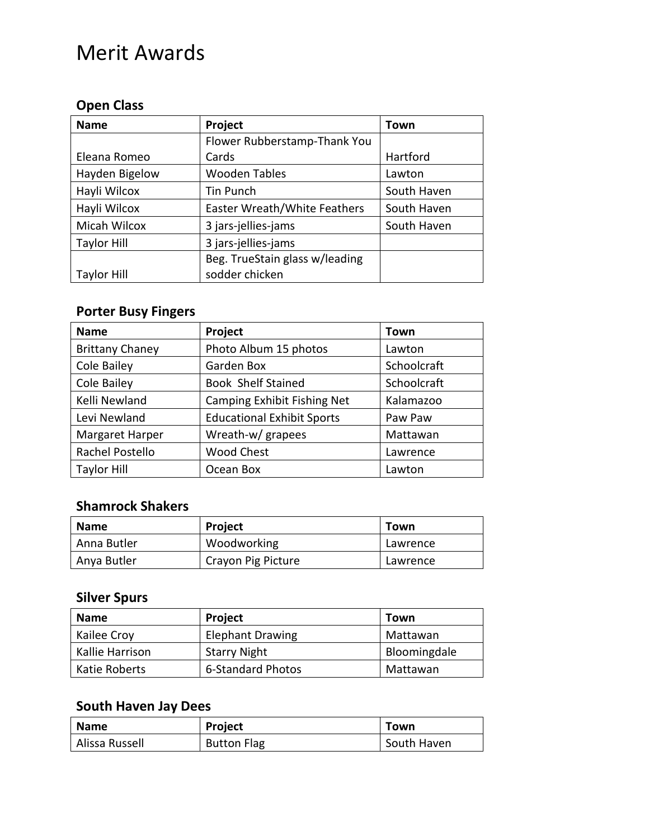## **Open Class**

| <b>Name</b>        | Project                        | Town        |
|--------------------|--------------------------------|-------------|
|                    | Flower Rubberstamp-Thank You   |             |
| Eleana Romeo       | Cards                          | Hartford    |
| Hayden Bigelow     | <b>Wooden Tables</b>           | Lawton      |
| Hayli Wilcox       | Tin Punch                      | South Haven |
| Hayli Wilcox       | Easter Wreath/White Feathers   | South Haven |
| Micah Wilcox       | 3 jars-jellies-jams            | South Haven |
| <b>Taylor Hill</b> | 3 jars-jellies-jams            |             |
|                    | Beg. TrueStain glass w/leading |             |
| <b>Taylor Hill</b> | sodder chicken                 |             |

## **Porter Busy Fingers**

| <b>Name</b>            | Project                            | Town        |
|------------------------|------------------------------------|-------------|
| <b>Brittany Chaney</b> | Photo Album 15 photos              | Lawton      |
| Cole Bailey            | Garden Box                         | Schoolcraft |
| Cole Bailey            | <b>Book Shelf Stained</b>          | Schoolcraft |
| Kelli Newland          | <b>Camping Exhibit Fishing Net</b> | Kalamazoo   |
| Levi Newland           | <b>Educational Exhibit Sports</b>  | Paw Paw     |
| <b>Margaret Harper</b> | Wreath-w/ grapees                  | Mattawan    |
| Rachel Postello        | <b>Wood Chest</b>                  | Lawrence    |
| <b>Taylor Hill</b>     | Ocean Box                          | Lawton      |

#### **Shamrock Shakers**

| <b>Name</b> | <b>Project</b>     | Town     |
|-------------|--------------------|----------|
| Anna Butler | Woodworking        | Lawrence |
| Anya Butler | Crayon Pig Picture | Lawrence |

## **Silver Spurs**

| <b>Name</b>     | <b>Project</b>          | Town         |
|-----------------|-------------------------|--------------|
| Kailee Croy     | <b>Elephant Drawing</b> | Mattawan     |
| Kallie Harrison | <b>Starry Night</b>     | Bloomingdale |
| Katie Roberts   | 6-Standard Photos       | Mattawan     |

## **South Haven Jay Dees**

| <b>Name</b>    | <b>Project</b>     | Town        |
|----------------|--------------------|-------------|
| Alissa Russell | <b>Button Flag</b> | South Haven |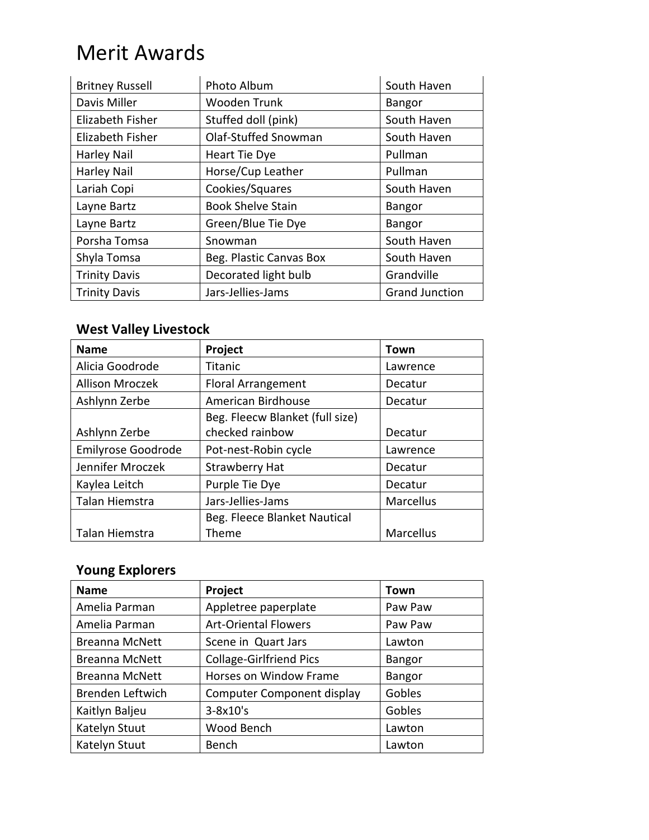| <b>Britney Russell</b> | Photo Album              | South Haven           |
|------------------------|--------------------------|-----------------------|
| Davis Miller           | Wooden Trunk             | <b>Bangor</b>         |
| Elizabeth Fisher       | Stuffed doll (pink)      | South Haven           |
| Elizabeth Fisher       | Olaf-Stuffed Snowman     | South Haven           |
| <b>Harley Nail</b>     | Heart Tie Dye            | Pullman               |
| <b>Harley Nail</b>     | Horse/Cup Leather        | Pullman               |
| Lariah Copi            | Cookies/Squares          | South Haven           |
| Layne Bartz            | <b>Book Shelve Stain</b> | <b>Bangor</b>         |
| Layne Bartz            | Green/Blue Tie Dye       | <b>Bangor</b>         |
| Porsha Tomsa           | Snowman                  | South Haven           |
| Shyla Tomsa            | Beg. Plastic Canvas Box  | South Haven           |
| <b>Trinity Davis</b>   | Decorated light bulb     | Grandville            |
| <b>Trinity Davis</b>   | Jars-Jellies-Jams        | <b>Grand Junction</b> |

## **West Valley Livestock**

| <b>Name</b>            | Project                         | Town      |
|------------------------|---------------------------------|-----------|
| Alicia Goodrode        | Titanic                         | Lawrence  |
| <b>Allison Mroczek</b> | <b>Floral Arrangement</b>       | Decatur   |
| Ashlynn Zerbe          | American Birdhouse              | Decatur   |
|                        | Beg. Fleecw Blanket (full size) |           |
| Ashlynn Zerbe          | checked rainbow                 | Decatur   |
| Emilyrose Goodrode     | Pot-nest-Robin cycle            | Lawrence  |
| Jennifer Mroczek       | <b>Strawberry Hat</b>           | Decatur   |
| Kaylea Leitch          | Purple Tie Dye                  | Decatur   |
| Talan Hiemstra         | Jars-Jellies-Jams               | Marcellus |
|                        | Beg. Fleece Blanket Nautical    |           |
| Talan Hiemstra         | Theme                           | Marcellus |

## **Young Explorers**

| <b>Name</b>           | Project                           | Town          |
|-----------------------|-----------------------------------|---------------|
| Amelia Parman         | Appletree paperplate              | Paw Paw       |
| Amelia Parman         | <b>Art-Oriental Flowers</b>       | Paw Paw       |
| <b>Breanna McNett</b> | Scene in Quart Jars               | Lawton        |
| <b>Breanna McNett</b> | <b>Collage-Girlfriend Pics</b>    | <b>Bangor</b> |
| <b>Breanna McNett</b> | Horses on Window Frame            | <b>Bangor</b> |
| Brenden Leftwich      | <b>Computer Component display</b> | Gobles        |
| Kaitlyn Baljeu        | $3-8x10's$                        | Gobles        |
| Katelyn Stuut         | Wood Bench                        | Lawton        |
| Katelyn Stuut         | Bench                             | Lawton        |